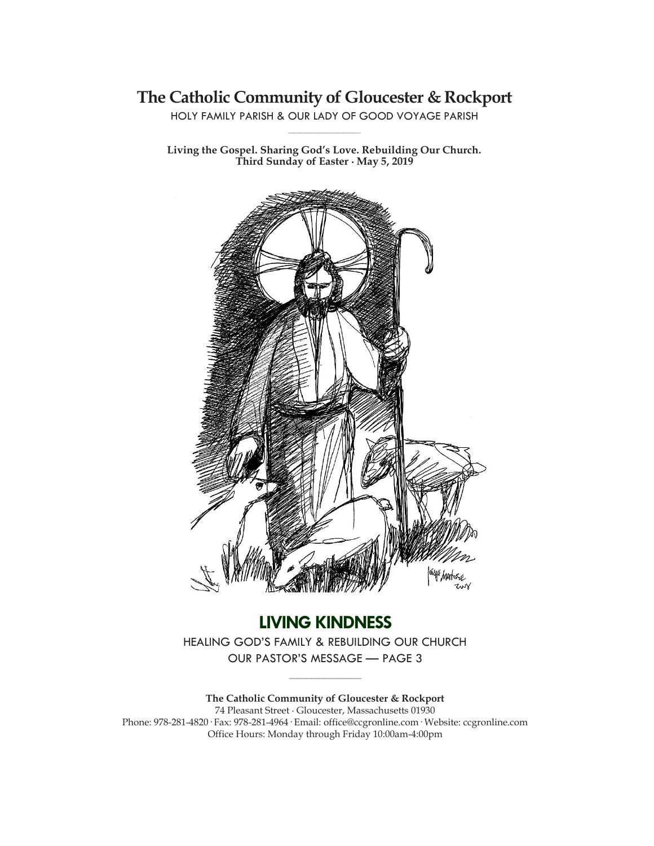# **The Catholic Community of Gloucester & Rockport**

HOLY FAMILY PARISH & OUR LADY OF GOOD VOYAGE PARISH **\_\_\_\_\_\_\_\_\_\_\_\_\_\_\_\_\_\_\_\_\_\_\_\_\_\_\_\_\_**

**Living the Gospel. Sharing God's Love. Rebuilding Our Church. Third Sunday of Easter ∙ May 5, 2019**



**LIVING KINDNESS** HEALING GOD'S FAMILY & REBUILDING OUR CHURCH OUR PASTOR'S MESSAGE — PAGE 3

**\_\_\_\_\_\_\_\_\_\_\_\_\_\_\_\_\_\_\_\_\_\_\_\_\_\_\_\_\_**

**The Catholic Community of Gloucester & Rockport** 74 Pleasant Street ∙ Gloucester, Massachusetts 01930 Phone: 978-281-4820· Fax: 978-281-4964· Email: office@ccgronline.com· Website: ccgronline.com Office Hours: Monday through Friday 10:00am-4:00pm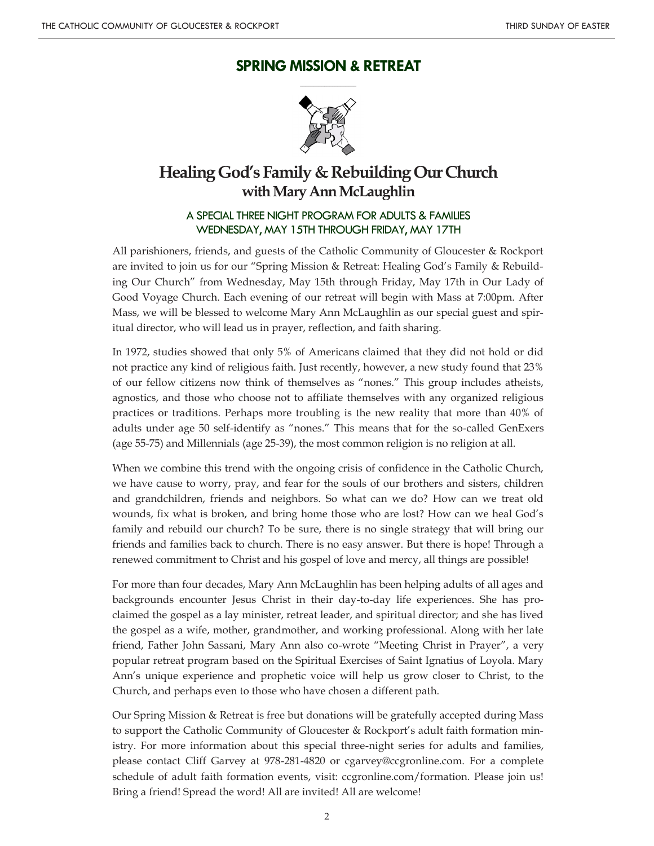# **SPRING MISSION & RETREAT \_\_\_\_\_\_\_\_\_\_\_\_\_\_\_\_\_\_\_\_\_**



# **Healing God's Family & Rebuilding Our Church with Mary Ann McLaughlin**

## A SPECIAL THREE NIGHT PROGRAM FOR ADULTS & FAMILIES WEDNESDAY, MAY 15TH THROUGH FRIDAY, MAY 17TH

All parishioners, friends, and guests of the Catholic Community of Gloucester & Rockport are invited to join us for our "Spring Mission & Retreat: Healing God's Family & Rebuilding Our Church" from Wednesday, May 15th through Friday, May 17th in Our Lady of Good Voyage Church. Each evening of our retreat will begin with Mass at 7:00pm. After Mass, we will be blessed to welcome Mary Ann McLaughlin as our special guest and spiritual director, who will lead us in prayer, reflection, and faith sharing.

In 1972, studies showed that only 5% of Americans claimed that they did not hold or did not practice any kind of religious faith. Just recently, however, a new study found that 23% of our fellow citizens now think of themselves as "nones." This group includes atheists, agnostics, and those who choose not to affiliate themselves with any organized religious practices or traditions. Perhaps more troubling is the new reality that more than 40% of adults under age 50 self-identify as "nones." This means that for the so-called GenExers (age 55-75) and Millennials (age 25-39), the most common religion is no religion at all.

When we combine this trend with the ongoing crisis of confidence in the Catholic Church, we have cause to worry, pray, and fear for the souls of our brothers and sisters, children and grandchildren, friends and neighbors. So what can we do? How can we treat old wounds, fix what is broken, and bring home those who are lost? How can we heal God's family and rebuild our church? To be sure, there is no single strategy that will bring our friends and families back to church. There is no easy answer. But there is hope! Through a renewed commitment to Christ and his gospel of love and mercy, all things are possible!

For more than four decades, Mary Ann McLaughlin has been helping adults of all ages and backgrounds encounter Jesus Christ in their day-to-day life experiences. She has proclaimed the gospel as a lay minister, retreat leader, and spiritual director; and she has lived the gospel as a wife, mother, grandmother, and working professional. Along with her late friend, Father John Sassani, Mary Ann also co-wrote "Meeting Christ in Prayer", a very popular retreat program based on the Spiritual Exercises of Saint Ignatius of Loyola. Mary Ann's unique experience and prophetic voice will help us grow closer to Christ, to the Church, and perhaps even to those who have chosen a different path.

Our Spring Mission & Retreat is free but donations will be gratefully accepted during Mass to support the Catholic Community of Gloucester & Rockport's adult faith formation ministry. For more information about this special three-night series for adults and families, please contact Cliff Garvey at 978-281-4820 or cgarvey@ccgronline.com. For a complete schedule of adult faith formation events, visit: ccgronline.com/formation. Please join us! Bring a friend! Spread the word! All are invited! All are welcome!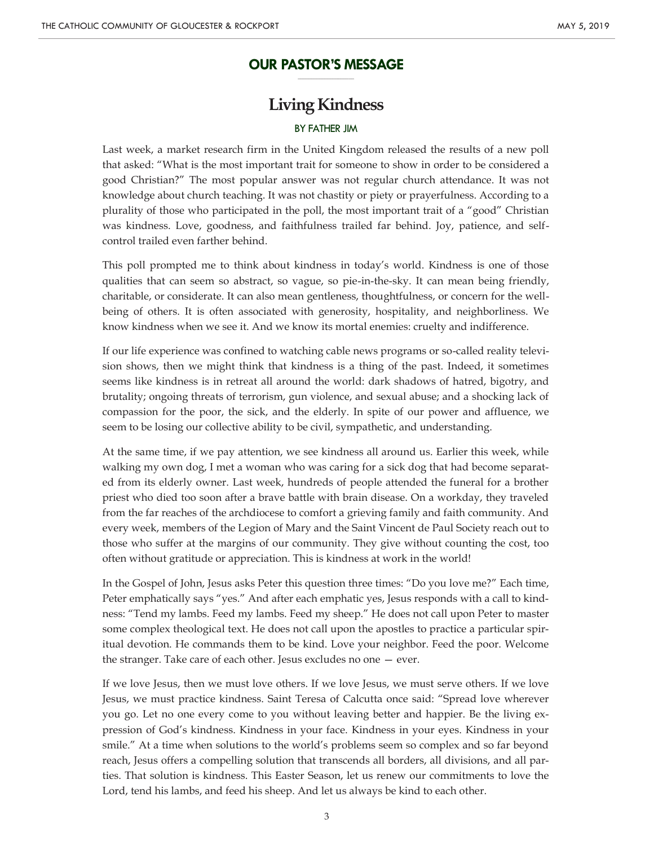#### **OUR PASTOR'S MESSAGE \_\_\_\_\_\_\_\_\_\_\_\_\_\_\_\_\_\_\_\_\_**

# **Living Kindness**

#### BY FATHER JIM

Last week, a market research firm in the United Kingdom released the results of a new poll that asked: "What is the most important trait for someone to show in order to be considered a good Christian?" The most popular answer was not regular church attendance. It was not knowledge about church teaching. It was not chastity or piety or prayerfulness. According to a plurality of those who participated in the poll, the most important trait of a "good" Christian was kindness. Love, goodness, and faithfulness trailed far behind. Joy, patience, and selfcontrol trailed even farther behind.

This poll prompted me to think about kindness in today's world. Kindness is one of those qualities that can seem so abstract, so vague, so pie-in-the-sky. It can mean being friendly, charitable, or considerate. It can also mean gentleness, thoughtfulness, or concern for the wellbeing of others. It is often associated with generosity, hospitality, and neighborliness. We know kindness when we see it. And we know its mortal enemies: cruelty and indifference.

If our life experience was confined to watching cable news programs or so-called reality television shows, then we might think that kindness is a thing of the past. Indeed, it sometimes seems like kindness is in retreat all around the world: dark shadows of hatred, bigotry, and brutality; ongoing threats of terrorism, gun violence, and sexual abuse; and a shocking lack of compassion for the poor, the sick, and the elderly. In spite of our power and affluence, we seem to be losing our collective ability to be civil, sympathetic, and understanding.

At the same time, if we pay attention, we see kindness all around us. Earlier this week, while walking my own dog, I met a woman who was caring for a sick dog that had become separated from its elderly owner. Last week, hundreds of people attended the funeral for a brother priest who died too soon after a brave battle with brain disease. On a workday, they traveled from the far reaches of the archdiocese to comfort a grieving family and faith community. And every week, members of the Legion of Mary and the Saint Vincent de Paul Society reach out to those who suffer at the margins of our community. They give without counting the cost, too often without gratitude or appreciation. This is kindness at work in the world!

In the Gospel of John, Jesus asks Peter this question three times: "Do you love me?" Each time, Peter emphatically says "yes." And after each emphatic yes, Jesus responds with a call to kindness: "Tend my lambs. Feed my lambs. Feed my sheep." He does not call upon Peter to master some complex theological text. He does not call upon the apostles to practice a particular spiritual devotion. He commands them to be kind. Love your neighbor. Feed the poor. Welcome the stranger. Take care of each other. Jesus excludes no one — ever.

If we love Jesus, then we must love others. If we love Jesus, we must serve others. If we love Jesus, we must practice kindness. Saint Teresa of Calcutta once said: "Spread love wherever you go. Let no one every come to you without leaving better and happier. Be the living expression of God's kindness. Kindness in your face. Kindness in your eyes. Kindness in your smile." At a time when solutions to the world's problems seem so complex and so far beyond reach, Jesus offers a compelling solution that transcends all borders, all divisions, and all parties. That solution is kindness. This Easter Season, let us renew our commitments to love the Lord, tend his lambs, and feed his sheep. And let us always be kind to each other.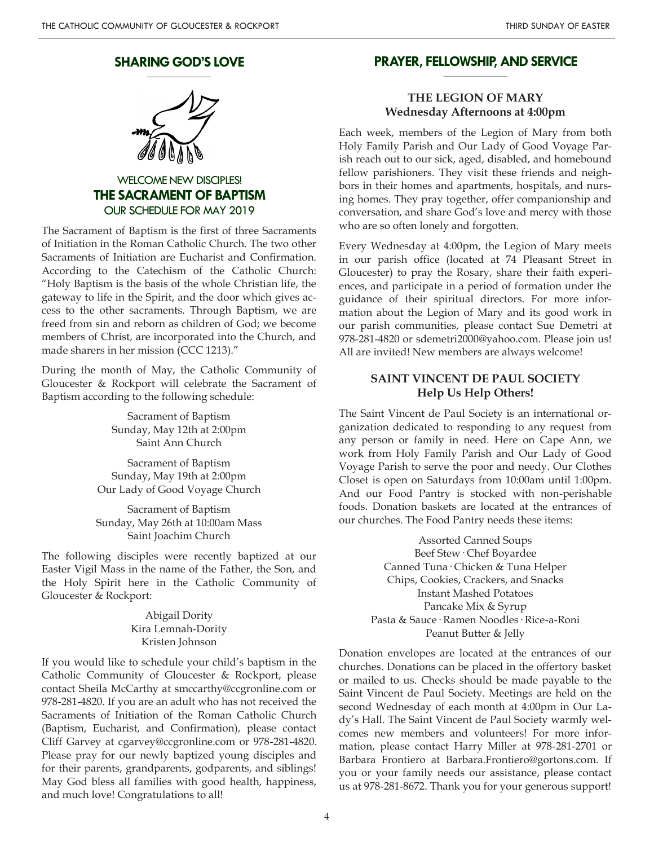#### **SHARING GOD'S LOVE \_\_\_\_\_\_\_\_\_\_\_\_\_\_\_\_\_\_\_\_**



WELCOME NEW DISCIPLES! **THE SACRAMENT OF BAPTISM** OUR SCHEDULE FOR MAY 2019

The Sacrament of Baptism is the first of three Sacraments of Initiation in the Roman Catholic Church. The two other Sacraments of Initiation are Eucharist and Confirmation. According to the Catechism of the Catholic Church: "Holy Baptism is the basis of the whole Christian life, the gateway to life in the Spirit, and the door which gives access to the other sacraments. Through Baptism, we are freed from sin and reborn as children of God; we become members of Christ, are incorporated into the Church, and made sharers in her mission (CCC 1213)."

During the month of May, the Catholic Community of Gloucester & Rockport will celebrate the Sacrament of Baptism according to the following schedule:

> Sacrament of Baptism Sunday, May 12th at 2:00pm Saint Ann Church

Sacrament of Baptism Sunday, May 19th at 2:00pm Our Lady of Good Voyage Church

Sacrament of Baptism Sunday, May 26th at 10:00am Mass Saint Joachim Church

The following disciples were recently baptized at our Easter Vigil Mass in the name of the Father, the Son, and the Holy Spirit here in the Catholic Community of Gloucester & Rockport:

> Abigail Dority Kira Lemnah-Dority Kristen Johnson

If you would like to schedule your child's baptism in the Catholic Community of Gloucester & Rockport, please contact Sheila McCarthy at smccarthy@ccgronline.com or 978-281-4820. If you are an adult who has not received the Sacraments of Initiation of the Roman Catholic Church (Baptism, Eucharist, and Confirmation), please contact Cliff Garvey at cgarvey@ccgronline.com or 978-281-4820. Please pray for our newly baptized young disciples and for their parents, grandparents, godparents, and siblings! May God bless all families with good health, happiness, and much love! Congratulations to all!

#### **PRAYER, FELLOWSHIP, AND SERVICE \_\_\_\_\_\_\_\_\_\_\_\_\_\_\_\_\_\_\_\_**

#### **THE LEGION OF MARY Wednesday Afternoons at 4:00pm**

Each week, members of the Legion of Mary from both Holy Family Parish and Our Lady of Good Voyage Parish reach out to our sick, aged, disabled, and homebound fellow parishioners. They visit these friends and neighbors in their homes and apartments, hospitals, and nursing homes. They pray together, offer companionship and conversation, and share God's love and mercy with those who are so often lonely and forgotten.

Every Wednesday at 4:00pm, the Legion of Mary meets in our parish office (located at 74 Pleasant Street in Gloucester) to pray the Rosary, share their faith experiences, and participate in a period of formation under the guidance of their spiritual directors. For more information about the Legion of Mary and its good work in our parish communities, please contact Sue Demetri at 978-281-4820 or sdemetri2000@yahoo.com. Please join us! All are invited! New members are always welcome!

#### **SAINT VINCENT DE PAUL SOCIETY Help Us Help Others!**

The Saint Vincent de Paul Society is an international organization dedicated to responding to any request from any person or family in need. Here on Cape Ann, we work from Holy Family Parish and Our Lady of Good Voyage Parish to serve the poor and needy. Our Clothes Closet is open on Saturdays from 10:00am until 1:00pm. And our Food Pantry is stocked with non-perishable foods. Donation baskets are located at the entrances of our churches. The Food Pantry needs these items:

> Assorted Canned Soups Beef Stew· Chef Boyardee Canned Tuna· Chicken & Tuna Helper Chips, Cookies, Crackers, and Snacks Instant Mashed Potatoes Pancake Mix & Syrup Pasta & Sauce· Ramen Noodles· Rice-a-Roni Peanut Butter & Jelly

Donation envelopes are located at the entrances of our churches. Donations can be placed in the offertory basket or mailed to us. Checks should be made payable to the Saint Vincent de Paul Society. Meetings are held on the second Wednesday of each month at 4:00pm in Our Lady's Hall. The Saint Vincent de Paul Society warmly welcomes new members and volunteers! For more information, please contact Harry Miller at 978-281-2701 or Barbara Frontiero at Barbara.Frontiero@gortons.com. If you or your family needs our assistance, please contact us at 978-281-8672. Thank you for your generous support!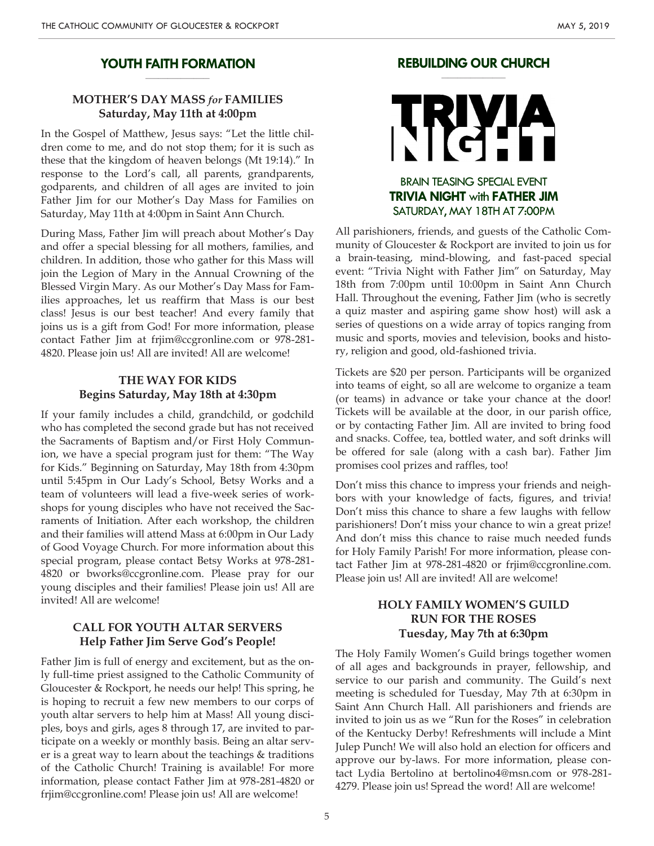#### **YOUTH FAITH FORMATION \_\_\_\_\_\_\_\_\_\_\_\_\_\_\_\_\_\_\_\_**

## **MOTHER'S DAY MASS** *for* **FAMILIES Saturday, May 11th at 4:00pm**

In the Gospel of Matthew, Jesus says: "Let the little children come to me, and do not stop them; for it is such as these that the kingdom of heaven belongs (Mt 19:14)." In response to the Lord's call, all parents, grandparents, godparents, and children of all ages are invited to join Father Jim for our Mother's Day Mass for Families on Saturday, May 11th at 4:00pm in Saint Ann Church.

During Mass, Father Jim will preach about Mother's Day and offer a special blessing for all mothers, families, and children. In addition, those who gather for this Mass will join the Legion of Mary in the Annual Crowning of the Blessed Virgin Mary. As our Mother's Day Mass for Families approaches, let us reaffirm that Mass is our best class! Jesus is our best teacher! And every family that joins us is a gift from God! For more information, please contact Father Jim at frjim@ccgronline.com or 978-281- 4820. Please join us! All are invited! All are welcome!

## **THE WAY FOR KIDS Begins Saturday, May 18th at 4:30pm**

If your family includes a child, grandchild, or godchild who has completed the second grade but has not received the Sacraments of Baptism and/or First Holy Communion, we have a special program just for them: "The Way for Kids." Beginning on Saturday, May 18th from 4:30pm until 5:45pm in Our Lady's School, Betsy Works and a team of volunteers will lead a five-week series of workshops for young disciples who have not received the Sacraments of Initiation. After each workshop, the children and their families will attend Mass at 6:00pm in Our Lady of Good Voyage Church. For more information about this special program, please contact Betsy Works at 978-281- 4820 or bworks@ccgronline.com. Please pray for our young disciples and their families! Please join us! All are invited! All are welcome!

#### **CALL FOR YOUTH ALTAR SERVERS Help Father Jim Serve God's People!**

Father Jim is full of energy and excitement, but as the only full-time priest assigned to the Catholic Community of Gloucester & Rockport, he needs our help! This spring, he is hoping to recruit a few new members to our corps of youth altar servers to help him at Mass! All young disciples, boys and girls, ages 8 through 17, are invited to participate on a weekly or monthly basis. Being an altar server is a great way to learn about the teachings & traditions of the Catholic Church! Training is available! For more information, please contact Father Jim at 978-281-4820 or frjim@ccgronline.com! Please join us! All are welcome!

#### **REBUILDING OUR CHURCH \_\_\_\_\_\_\_\_\_\_\_\_\_\_\_\_\_\_\_\_**

# BRAIN TEASING SPECIAL EVENT **TRIVIA NIGHT** with **FATHER JIM** SATURDAY, MAY 18TH AT 7:00PM

All parishioners, friends, and guests of the Catholic Community of Gloucester & Rockport are invited to join us for a brain-teasing, mind-blowing, and fast-paced special event: "Trivia Night with Father Jim" on Saturday, May 18th from 7:00pm until 10:00pm in Saint Ann Church Hall. Throughout the evening, Father Jim (who is secretly a quiz master and aspiring game show host) will ask a series of questions on a wide array of topics ranging from music and sports, movies and television, books and history, religion and good, old-fashioned trivia.

Tickets are \$20 per person. Participants will be organized into teams of eight, so all are welcome to organize a team (or teams) in advance or take your chance at the door! Tickets will be available at the door, in our parish office, or by contacting Father Jim. All are invited to bring food and snacks. Coffee, tea, bottled water, and soft drinks will be offered for sale (along with a cash bar). Father Jim promises cool prizes and raffles, too!

Don't miss this chance to impress your friends and neighbors with your knowledge of facts, figures, and trivia! Don't miss this chance to share a few laughs with fellow parishioners! Don't miss your chance to win a great prize! And don't miss this chance to raise much needed funds for Holy Family Parish! For more information, please contact Father Jim at 978-281-4820 or frjim@ccgronline.com. Please join us! All are invited! All are welcome!

# **HOLY FAMILY WOMEN'S GUILD RUN FOR THE ROSES Tuesday, May 7th at 6:30pm**

The Holy Family Women's Guild brings together women of all ages and backgrounds in prayer, fellowship, and service to our parish and community. The Guild's next meeting is scheduled for Tuesday, May 7th at 6:30pm in Saint Ann Church Hall. All parishioners and friends are invited to join us as we "Run for the Roses" in celebration of the Kentucky Derby! Refreshments will include a Mint Julep Punch! We will also hold an election for officers and approve our by-laws. For more information, please contact Lydia Bertolino at bertolino4@msn.com or 978-281- 4279. Please join us! Spread the word! All are welcome!